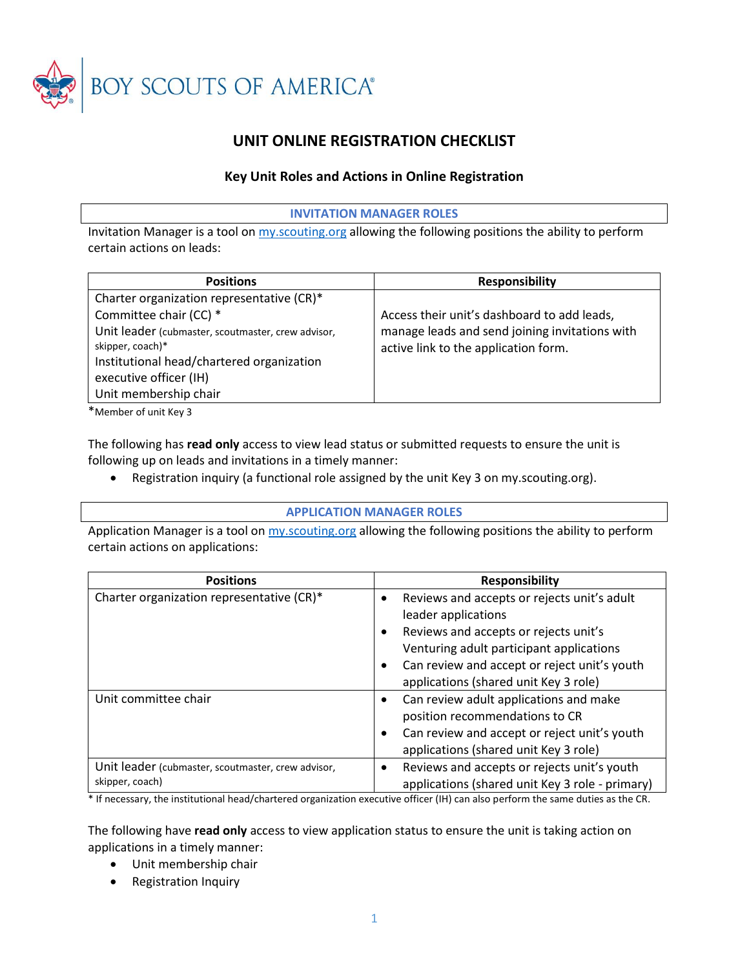

# **UNIT ONLINE REGISTRATION CHECKLIST**

### **Key Unit Roles and Actions in Online Registration**

### **INVITATION MANAGER ROLES**

Invitation Manager is a tool on my scouting org allowing the following positions the ability to perform certain actions on leads:

| <b>Responsibility</b>                          |
|------------------------------------------------|
|                                                |
| Access their unit's dashboard to add leads,    |
| manage leads and send joining invitations with |
| active link to the application form.           |
|                                                |
|                                                |
|                                                |
|                                                |

\*Member of unit Key 3

The following has **read only** access to view lead status or submitted requests to ensure the unit is following up on leads and invitations in a timely manner:

• Registration inquiry (a functional role assigned by the unit Key 3 on my.scouting.org).

#### **APPLICATION MANAGER ROLES**

Application Manager is a tool on [my.scouting.org](https://my.scouting.org/) allowing the following positions the ability to perform certain actions on applications:

| <b>Positions</b>                                                      | <b>Responsibility</b>                                    |
|-----------------------------------------------------------------------|----------------------------------------------------------|
| Charter organization representative (CR)*                             | Reviews and accepts or rejects unit's adult<br>$\bullet$ |
|                                                                       | leader applications                                      |
|                                                                       | Reviews and accepts or rejects unit's<br>٠               |
|                                                                       | Venturing adult participant applications                 |
|                                                                       | Can review and accept or reject unit's youth<br>٠        |
|                                                                       | applications (shared unit Key 3 role)                    |
| Unit committee chair                                                  | Can review adult applications and make<br>٠              |
|                                                                       | position recommendations to CR                           |
|                                                                       | Can review and accept or reject unit's youth<br>٠        |
|                                                                       | applications (shared unit Key 3 role)                    |
| Unit leader (cubmaster, scoutmaster, crew advisor,<br>skipper, coach) | Reviews and accepts or rejects unit's youth              |
|                                                                       | applications (shared unit Key 3 role - primary)          |

\* If necessary, the institutional head/chartered organization executive officer (IH) can also perform the same duties as the CR.

The following have **read only** access to view application status to ensure the unit is taking action on applications in a timely manner:

- Unit membership chair
- Registration Inquiry